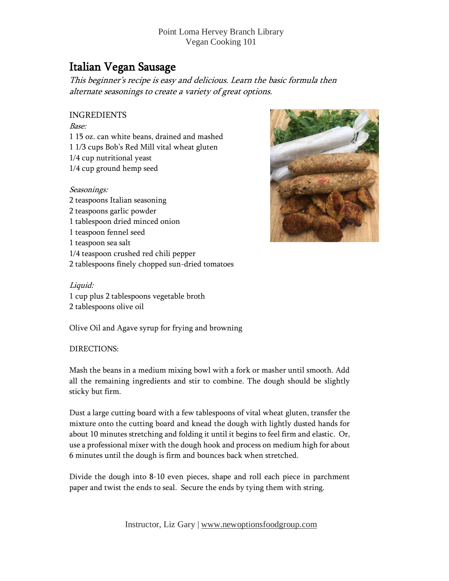# Italian Vegan Sausage

This beginner'<sup>s</sup> recipe is easy and delicious. Learn the basic formula then alternate seasonings to create <sup>a</sup> variety of great options.

## INGREDIENTS

Base: 1 15 oz. can white beans, drained and mashed 1 1/3 cups Bob's Red Mill vital wheat gluten 1/4 cup nutritional yeast 1/4 cup ground hemp seed

#### Seasonings:

 teaspoons Italian seasoning teaspoons garlic powder tablespoon dried minced onion teaspoon fennel seed teaspoon sea salt 1/4 teaspoon crushed red chili pepper tablespoons finely chopped sun-dried tomatoes



## Liquid:

1 cup plus 2 tablespoons vegetable broth 2 tablespoons olive oil

Olive Oil and Agave syrup for frying and browning

## DIRECTIONS:

Mash the beans in a medium mixing bowl with a fork or masher until smooth. Add all the remaining ingredients and stir to combine. The dough should be slightly sticky but firm.

Dust a large cutting board with a few tablespoons of vital wheat gluten, transfer the mixture onto the cutting board and knead the dough with lightly dusted hands for about 10 minutes stretching and folding it until it begins to feel firm and elastic. Or, use a professional mixer with the dough hook and process on medium high for about 6 minutes until the dough is firm and bounces back when stretched.

Divide the dough into 8-10 even pieces, shape and roll each piece in parchment paper and twist the ends to seal. Secure the ends by tying them with string.

Instructor, Liz Gary | [www.newoptionsfoodgroup.com](http://www.newoptionsfoodgroup.com/)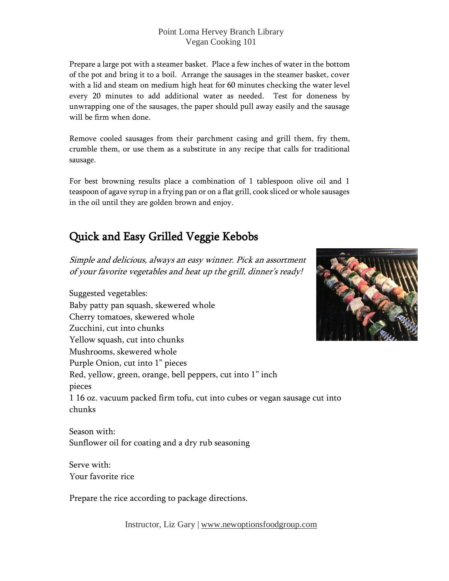Prepare a large pot with a steamer basket. Place a few inches of water in the bottom of the pot and bring it to a boil. Arrange the sausages in the steamer basket, cover with a lid and steam on medium high heat for 60 minutes checking the water level every 20 minutes to add additional water as needed. Test for doneness by unwrapping one of the sausages, the paper should pull away easily and the sausage will be firm when done.

Remove cooled sausages from their parchment casing and grill them, fry them, crumble them, or use them as a substitute in any recipe that calls for traditional sausage.

For best browning results place a combination of 1 tablespoon olive oil and 1 teaspoon of agave syrup in a frying pan or on a flat grill, cook sliced or whole sausages in the oil until they are golden brown and enjoy.

# Quick and Easy Grilled Veggie Kebobs

Simple and delicious, always an easy winner. Pick an assortment of your favorite vegetables and heat up the grill, dinner's ready!

Suggested vegetables: Baby patty pan squash, skewered whole Cherry tomatoes, skewered whole Zucchini, cut into chunks Yellow squash, cut into chunks Mushrooms, skewered whole Purple Onion, cut into 1" pieces Red, yellow, green, orange, bell peppers, cut into 1" inch pieces 1 16 oz. vacuum packed firm tofu, cut into cubes or vegan sausage cut into chunks



Season with: Sunflower oil for coating and a dry rub seasoning

Serve with: Your favorite rice

Prepare the rice according to package directions.

Instructor, Liz Gary | [www.newoptionsfoodgroup.com](http://www.newoptionsfoodgroup.com/)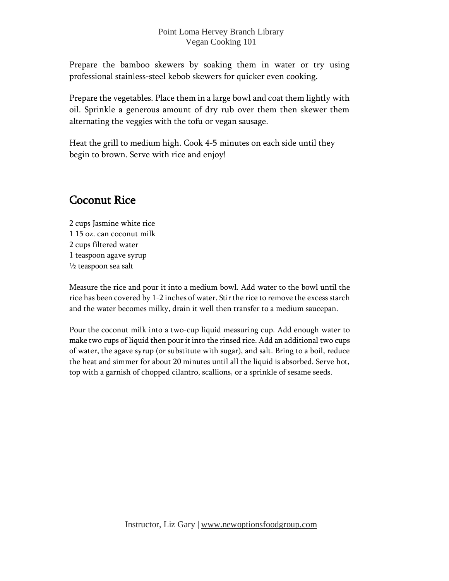Prepare the bamboo skewers by soaking them in water or try using professional stainless-steel kebob skewers for quicker even cooking.

Prepare the vegetables. Place them in a large bowl and coat them lightly with oil. Sprinkle a generous amount of dry rub over them then skewer them alternating the veggies with the tofu or vegan sausage.

Heat the grill to medium high. Cook 4-5 minutes on each side until they begin to brown. Serve with rice and enjoy!

## Coconut Rice

 cups Jasmine white rice 15 oz. can coconut milk cups filtered water teaspoon agave syrup  $\frac{1}{2}$  teaspoon sea salt

Measure the rice and pour it into a medium bowl. Add water to the bowl until the rice has been covered by 1-2 inches of water. Stirthe rice to remove the excess starch and the water becomes milky, drain it well then transfer to a medium saucepan.

Pour the coconut milk into a two-cup liquid measuring cup. Add enough water to make two cups of liquid then pour it into the rinsed rice. Add an additional two cups of water, the agave syrup (or substitute with sugar), and salt. Bring to a boil, reduce the heat and simmer for about 20 minutes until all the liquid is absorbed. Serve hot, top with a garnish of chopped cilantro, scallions, or a sprinkle of sesame seeds.